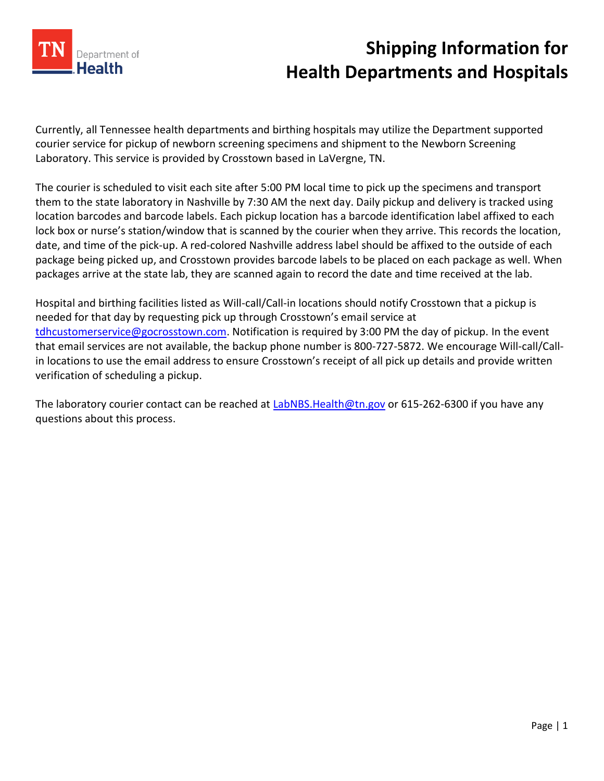

## **Shipping Information for Health Departments and Hospitals**

Currently, all Tennessee health departments and birthing hospitals may utilize the Department supported courier service for pickup of newborn screening specimens and shipment to the Newborn Screening Laboratory. This service is provided by Crosstown based in LaVergne, TN.

The courier is scheduled to visit each site after 5:00 PM local time to pick up the specimens and transport them to the state laboratory in Nashville by 7:30 AM the next day. Daily pickup and delivery is tracked using location barcodes and barcode labels. Each pickup location has a barcode identification label affixed to each lock box or nurse's station/window that is scanned by the courier when they arrive. This records the location, date, and time of the pick-up. A red-colored Nashville address label should be affixed to the outside of each package being picked up, and Crosstown provides barcode labels to be placed on each package as well. When packages arrive at the state lab, they are scanned again to record the date and time received at the lab.

Hospital and birthing facilities listed as Will-call/Call-in locations should notify Crosstown that a pickup is needed for that day by requesting pick up through Crosstown's email service at [tdhcustomerservice@gocrosstown.com.](mailto:tdhcustomerservice@gocrosstown.com) Notification is required by 3:00 PM the day of pickup. In the event that email services are not available, the backup phone number is 800-727-5872. We encourage Will-call/Callin locations to use the email address to ensure Crosstown's receipt of all pick up details and provide written verification of scheduling a pickup.

The laboratory courier contact can be reached at [LabNBS.Health@tn.gov](mailto:LabNBS.Health@tn.gov) or 615-262-6300 if you have any questions about this process.